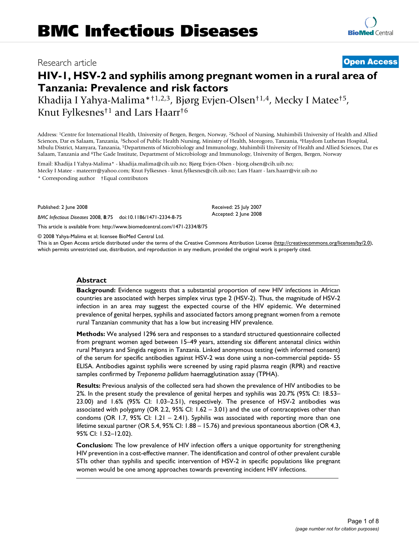# Research article **[Open Access](http://www.biomedcentral.com/info/about/charter/)**

# **HIV-1, HSV-2 and syphilis among pregnant women in a rural area of Tanzania: Prevalence and risk factors**

Khadija I Yahya-Malima\*†1,2,3, Bjørg Evjen-Olsen†1,4, Mecky I Matee†5, Knut Fylkesnes†1 and Lars Haarr†6

Address: 1Centre for International Health, University of Bergen, Bergen, Norway, 2School of Nursing, Muhimbili University of Health and Allied Sciences, Dar es Salaam, Tanzania, 3School of Public Health Nursing, Ministry of Health, Morogoro, Tanzania, 4Haydom Lutheran Hospital, Mbulu District, Manyara, Tanzania, 5Departments of Microbiology and Immunology, Muhimbili University of Health and Allied Sciences, Dar es Salaam, Tanzania and <sup>6</sup>The Gade Institute, Department of Microbiology and Immunology, University of Bergen, Bergen, Norway

Email: Khadija I Yahya-Malima\* - khadija.malima@cih.uib.no; Bjørg Evjen-Olsen - bjorg.olsen@cih.uib.no; Mecky I Matee - mateerrr@yahoo.com; Knut Fylkesnes - knut.fylkesnes@cih.uib.no; Lars Haarr - lars.haarr@vir.uib.no

\* Corresponding author †Equal contributors

Published: 2 June 2008

*BMC Infectious Diseases* 2008, **8**:75 doi:10.1186/1471-2334-8-75

[This article is available from: http://www.biomedcentral.com/1471-2334/8/75](http://www.biomedcentral.com/1471-2334/8/75)

© 2008 Yahya-Malima et al; licensee BioMed Central Ltd.

This is an Open Access article distributed under the terms of the Creative Commons Attribution License [\(http://creativecommons.org/licenses/by/2.0\)](http://creativecommons.org/licenses/by/2.0), which permits unrestricted use, distribution, and reproduction in any medium, provided the original work is properly cited.

Received: 25 July 2007 Accepted: 2 June 2008

# **Abstract**

**Background:** Evidence suggests that a substantial proportion of new HIV infections in African countries are associated with herpes simplex virus type 2 (HSV-2). Thus, the magnitude of HSV-2 infection in an area may suggest the expected course of the HIV epidemic. We determined prevalence of genital herpes, syphilis and associated factors among pregnant women from a remote rural Tanzanian community that has a low but increasing HIV prevalence.

**Methods:** We analysed 1296 sera and responses to a standard structured questionnaire collected from pregnant women aged between 15–49 years, attending six different antenatal clinics within rural Manyara and Singida regions in Tanzania. Linked anonymous testing (with informed consent) of the serum for specific antibodies against HSV-2 was done using a non-commercial peptide- 55 ELISA. Antibodies against syphilis were screened by using rapid plasma reagin (RPR) and reactive samples confirmed by *Treponema pallidum* haemagglutination assay (TPHA).

**Results:** Previous analysis of the collected sera had shown the prevalence of HIV antibodies to be 2%. In the present study the prevalence of genital herpes and syphilis was 20.7% (95% CI: 18.53– 23.00) and 1.6% (95% CI: 1.03–2.51), respectively. The presence of HSV-2 antibodies was associated with polygamy (OR 2.2, 95% CI:  $1.62 - 3.01$ ) and the use of contraceptives other than condoms (OR 1.7, 95% CI: 1.21 – 2.41). Syphilis was associated with reporting more than one lifetime sexual partner (OR 5.4, 95% CI: 1.88 – 15.76) and previous spontaneous abortion (OR 4.3, 95% CI: 1.52–12.02).

**Conclusion:** The low prevalence of HIV infection offers a unique opportunity for strengthening HIV prevention in a cost-effective manner. The identification and control of other prevalent curable STIs other than syphilis and specific intervention of HSV-2 in specific populations like pregnant women would be one among approaches towards preventing incident HIV infections.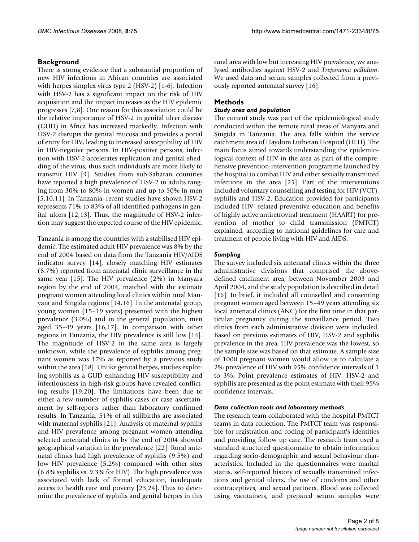# **Background**

There is strong evidence that a substantial proportion of new HIV infections in African countries are associated with herpes simplex virus type 2 (HSV-2) [1-6]. Infection with HSV-2 has a significant impact on the risk of HIV acquisition and the impact increases as the HIV epidemic progresses [7,8]. One reason for this association could be the relative importance of HSV-2 in genital ulcer disease (GUD) in Africa has increased markedly. Infection with HSV-2 disrupts the genital mucosa and provides a portal of entry for HIV, leading to increased susceptibility of HIV in HIV-negative persons. In HIV-positive persons, infection with HSV-2 accelerates replication and genital shedding of the virus, thus such individuals are more likely to transmit HIV [9]. Studies from sub-Saharan countries have reported a high prevalence of HSV-2 in adults ranging from 30% to 80% in women and up to 50% in men [5,10,11]. In Tanzania, recent studies have shown HSV-2 represents 71% to 83% of all identified pathogens in genital ulcers [12,13]. Thus, the magnitude of HSV-2 infection may suggest the expected course of the HIV epidemic.

Tanzania is among the countries with a stabilised HIV epidemic. The estimated adult HIV prevalence was 8% by the end of 2004 based on data from the Tanzania HIV/AIDS indicator survey [14], closely matching HIV estimates (8.7%) reported from antenatal clinic surveillance in the same year [15]. The HIV prevalence (2%) in Manyara region by the end of 2004, matched with the estimate pregnant women attending local clinics within rural Manyara and Singida regions [14,16]. In the antenatal group, young women (15–19 years) presented with the highest prevalence (3.0%) and in the general population, men aged 35–49 years [16,17]. In comparison with other regions in Tanzania, the HIV prevalence is still low [14]. The magnitude of HSV-2 in the same area is largely unknown, while the prevalence of syphilis among pregnant women was 17% as reported by a previous study within the area [18]. Unlike genital herpes, studies exploring syphilis as a GUD enhancing HIV susceptibility and infectiousness in high-risk groups have revealed conflicting results [19,20]. The limitations have been due to either a few number of syphilis cases or case ascertainment by self-reports rather than laboratory confirmed results. In Tanzania, 51% of all stillbirths are associated with maternal syphilis [21]. Analysis of maternal syphilis and HIV prevalence among pregnant women attending selected antenatal clinics in by the end of 2004 showed geographical variation in the prevalence [22]. Rural antenatal clinics had high prevalence of syphilis (9.5%) and low HIV prevalence (5.2%) compared with other sites (6.8% syphilis vs. 9.3% for HIV). The high prevalence was associated with lack of formal education, inadequate access to health care and poverty [23,24]. Thus to determine the prevalence of syphilis and genital herpes in this rural area with low but increasing HIV prevalence, we analysed antibodies against HSV-2 and *Treponema pallidum*. We used data and serum samples collected from a previously reported antenatal survey [16].

# **Methods**

#### *Study area and population*

The current study was part of the epidemiological study conducted within the remote rural areas of Manyara and Singida in Tanzania. The area falls within the service catchment area of Haydom Lutheran Hospital (HLH). The main focus aimed towards understanding the epidemiological context of HIV in the area as part of the comprehensive prevention-intervention programme launched by the hospital to combat HIV and other sexually transmitted infections in the area [25]. Part of the interventions included voluntary counselling and testing for HIV (VCT), syphilis and HSV-2. Education provided for participants included HIV- related preventive education and benefits of highly active antiretroviral treatment (HAART) for prevention of mother to child transmission (PMTCT) explained, according to national guidelines for care and treatment of people living with HIV and AIDS.

# *Sampling*

The survey included six antenatal clinics within the three administrative divisions that comprised the abovedefined catchment area, between November 2003 and April 2004, and the study population is described in detail [16]. In brief, it included all counselled and consenting pregnant women aged between 15–49 years attending six local antenatal clinics (ANC) for the first time in that particular pregnancy during the surveillance period. Two clinics from each administrative division were included. Based on previous estimates of HIV, HSV-2 and syphilis prevalence in the area, HIV prevalence was the lowest, so the sample size was based on that estimate. A sample size of 1000 pregnant women would allow us to calculate a 2% prevalence of HIV with 95% confidence intervals of 1 to 3%. Point prevalence estimates of HIV, HSV-2 and syphilis are presented as the point estimate with their 95% confidence intervals.

# *Data collection tools and laboratory methods*

The research team collaborated with the hospital PMTCT teams in data collection. The PMTCT team was responsible for registration and coding of participant's identities and providing follow up care. The research team used a standard structured questionnaire to obtain information regarding socio-demographic and sexual behaviour characteristics. Included in the questionnaires were marital status, self-reported history of sexually transmitted infections and genital ulcers, the use of condoms and other contraceptives, and sexual partners. Blood was collected using vacutainers, and prepared serum samples were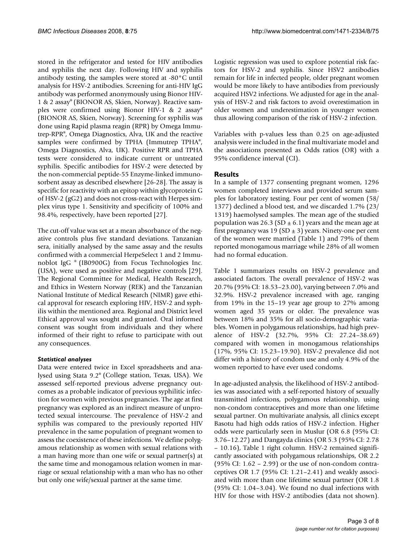stored in the refrigerator and tested for HIV antibodies and syphilis the next day. Following HIV and syphilis antibody testing, the samples were stored at -80°C until analysis for HSV-2 antibodies. Screening for anti-HIV IgG antibody was performed anonymously using Bionor HIV-1 & 2 assay® (BIONOR AS, Skien, Norway). Reactive samples were confirmed using Bionor HIV-1 & 2 assay® (BIONOR AS, Skien, Norway). Screening for syphilis was done using Rapid plasma reagin (RPR) by Omega Immutrep-RPR®, Omega Diagnostics, Alva, UK and the reactive samples were confirmed by TPHA (Immutrep TPHA®, Omega Diagnostics, Alva, UK). Positive RPR and TPHA tests were considered to indicate current or untreated syphilis. Specific antibodies for HSV-2 were detected by the non-commercial peptide-55 Enzyme-linked immunosorbent assay as described elsewhere [26-28]. The assay is specific for reactivity with an epitop within glycoprotein G of HSV-2 (gG2) and does not cross-react with Herpes simplex virus type 1. Sensitivity and specificity of 100% and 98.4%, respectively, have been reported [27].

The cut-off value was set at a mean absorbance of the negative controls plus five standard deviations. Tanzanian sera, initially analysed by the same assay and the results confirmed with a commercial HerpeSelect 1 and 2 Immunoblot IgG ® (IB0900G) from Focus Technologies Inc. (USA), were used as positive and negative controls [29]. The Regional Committee for Medical, Health Research, and Ethics in Western Norway (REK) and the Tanzanian National Institute of Medical Research (NIMR) gave ethical approval for research exploring HIV, HSV-2 and syphilis within the mentioned area. Regional and District level Ethical approval was sought and granted. Oral informed consent was sought from individuals and they where informed of their right to refuse to participate with out any consequences.

# *Statistical analyses*

Data were entered twice in Excel spreadsheets and analysed using Stata 9.2® (College station, Texas, USA). We assessed self-reported previous adverse pregnancy outcomes as a probable indicator of previous syphilitic infection for women with previous pregnancies. The age at first pregnancy was explored as an indirect measure of unprotected sexual intercourse. The prevalence of HSV-2 and syphilis was compared to the previously reported HIV prevalence in the same population of pregnant women to assess the coexistence of these infections. We define polygamous relationship as women with sexual relations with a man having more than one wife or sexual partner(s) at the same time and monogamous relation women in marriage or sexual relationship with a man who has no other but only one wife/sexual partner at the same time.

Logistic regression was used to explore potential risk factors for HSV-2 and syphilis. Since HSV2 antibodies remain for life in infected people, older pregnant women would be more likely to have antibodies from previously acquired HSV2 infections. We adjusted for age in the analysis of HSV-2 and risk factors to avoid overestimation in older women and underestimation in younger women thus allowing comparison of the risk of HSV-2 infection.

Variables with p-values less than 0.25 on age-adjusted analysis were included in the final multivariate model and the associations presented as Odds ratios (OR) with a 95% confidence interval (CI).

# **Results**

In a sample of 1377 consenting pregnant women, 1296 women completed interviews and provided serum samples for laboratory testing. Four per cent of women (58/ 1377) declined a blood test, and we discarded 1.7% (23/ 1319) haemolysed samples. The mean age of the studied population was 26.3 (SD  $\pm$  6.1) years and the mean age at first pregnancy was 19 (SD  $\pm$  3) years. Ninety-one per cent of the women were married (Table 1) and 79% of them reported monogamous marriage while 28% of all women had no formal education.

Table 1 summarizes results on HSV-2 prevalence and associated factors. The overall prevalence of HSV-2 was 20.7% (95% CI: 18.53–23.00), varying between 7.0% and 32.9%. HSV-2 prevalence increased with age, ranging from 19% in the 15–19 year age group to 27% among women aged 35 years or older. The prevalence was between 18% and 35% for all socio-demographic variables. Women in polygamous relationships, had high prevalence of HSV-2 (32.7%, 95% CI: 27.24–38.69) compared with women in monogamous relationships (17%, 95% CI: 15.23–19.90). HSV-2 prevalence did not differ with a history of condom use and only 4.9% of the women reported to have ever used condoms.

In age-adjusted analysis, the likelihood of HSV-2 antibodies was associated with a self-reported history of sexually transmitted infections, polygamous relationship, using non-condom contraceptives and more than one lifetime sexual partner. On multivariate analysis, all clinics except Basotu had high odds ratios of HSV-2 infection. Higher odds were particularly seen in Muslur (OR 6.8 (95% CI: 3.76–12.27) and Dangayda clinics (OR 5.3 (95% CI: 2.78 – 10.16), Table 1 right column. HSV-2 remained significantly associated with polygamous relationships, OR 2.2  $(95\% \text{ CI: } 1.62 - 2.99)$  or the use of non-condom contraceptives OR 1.7 (95% CI: 1.21–2.41) and weakly associated with more than one lifetime sexual partner (OR 1.8 (95% CI: 1.04–3.04). We found no dual infections with HIV for those with HSV-2 antibodies (data not shown).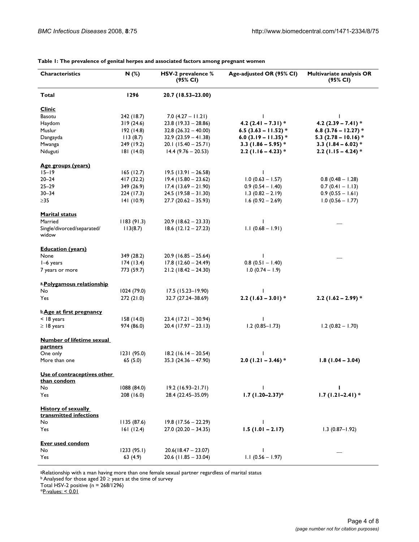| <b>Characteristics</b>                     | N(%)        | HSV-2 prevalence %     | Age-adjusted OR (95% CI) | Multivariate analysis OR |
|--------------------------------------------|-------------|------------------------|--------------------------|--------------------------|
|                                            |             | (95% CI)               |                          | (95% CI)                 |
| Total                                      | 1296        | 20.7 (18.53-23.00)     |                          |                          |
| <b>Clinic</b>                              |             |                        |                          |                          |
| Basotu                                     | 242 (18.7)  | $7.0$ (4.27 - 11.21)   | I                        |                          |
| Haydom                                     | 319(24.6)   | $23.8(19.33 - 28.86)$  | 4.2 $(2.41 - 7.31)^*$    | 4.2 $(2.39 - 7.41)$ *    |
| Muslur                                     | 192(14.8)   | $32.8(26.32 - 40.00)$  | 6.5 $(3.63 - 11.52)$ *   | 6.8 $(3.76 - 12.27)$ *   |
| Dangayda                                   | 113(8.7)    | $32.9(23.59 - 41.38)$  | $6.0$ (3.19 – 11.35) *   | 5.3 $(2.78 - 10.16)$ *   |
| Mwanga                                     | 249 (19.2)  | $20.1$ (15.40 - 25.71) | 3.3 $(1.86 - 5.95)$ *    | 3.3 $(1.84 - 6.02)$ *    |
| Nduguti                                    | 181(14.0)   | $14.4 (9.76 - 20.53)$  | $2.2$ (1.16 – 4.23) *    | $2.2$ (1.15 – 4.24) *    |
|                                            |             |                        |                          |                          |
| Age groups (years)                         |             |                        |                          |                          |
| $15 - 19$                                  | 165(12.7)   | $19.5$ (13.91 - 26.58) | T                        |                          |
| $20 - 24$                                  | 417 (32.2)  | $19.4(15.80 - 23.62)$  | $1.0 (0.63 - 1.57)$      | $0.8(0.48 - 1.28)$       |
| $25 - 29$                                  | 349 (26.9)  | $17.4(13.69 - 21.90)$  | $0.9(0.54 - 1.40)$       | $0.7(0.41 - 1.13)$       |
| $30 - 34$                                  | 224 (17.3)  | $24.5$ (19.58 - 31.30) | $1.3$ (0.82 – 2.19)      | $0.9(0.55 - 1.61)$       |
| $\geq$ 35                                  | 141(10.9)   | $27.7(20.62 - 35.93)$  | $1.6(0.92 - 2.69)$       | $1.0$ (0.56 - 1.77)      |
| <b>Marital status</b>                      |             |                        |                          |                          |
| Married                                    | 1183(91.3)  | $20.9$ (18.62 - 23.33) | T                        |                          |
| Single/divorced/separated/<br>widow        | 113(8.7)    | $18.6$ (12.12 - 27.23) | $1.1 (0.68 - 1.91)$      |                          |
| <b>Education (years)</b>                   |             |                        |                          |                          |
| None                                       | 349 (28.2)  | $20.9$ (16.85 - 25.64) | ı                        |                          |
| I-6 years                                  | 174(13.4)   | $17.8(12.60 - 24.49)$  | $0.8(0.51 - 1.40)$       |                          |
| 7 years or more                            | 773 (59.7)  | $21.2(18.42 - 24.30)$  | $1.0$ (0.74 - 1.9)       |                          |
| a Polygamous relationship                  |             |                        |                          |                          |
| No                                         | 1024 (79.0) | $17.5(15.23 - 19.90)$  | T                        |                          |
| Yes                                        | 272 (21.0)  | 32.7 (27.24-38.69)     | $2.2$ (1.63 – 3.01) *    | $2.2$ (1.62 – 2.99) *    |
| <b><u>b Age at first pregnancy</u></b>     |             |                        |                          |                          |
| $<$ 18 years                               | 158 (14.0)  | $23.4$ (17.21 - 30.94) | T                        |                          |
| $\geq$ 18 years                            | 974 (86.0)  | $20.4$ (17.97 – 23.13) | $1.2(0.85 - 1.73)$       | $1.2(0.82 - 1.70)$       |
| Number of lifetime sexual                  |             |                        |                          |                          |
| partners                                   |             |                        |                          |                          |
| One only                                   | 1231 (95.0) | $18.2(16.14 - 20.54)$  |                          |                          |
| More than one                              | 65(5.0)     | $35.3(24.36 - 47.90)$  | $2.0$ (1.21 – 3.46) *    | $1.8(1.04 - 3.04)$       |
| Use of contraceptives other<br>than condom |             |                        |                          |                          |
| No                                         | 1088 (84.0) | $19.2(16.93 - 21.71)$  |                          |                          |
| Yes                                        | 208 (16.0)  | 28.4 (22.45-35.09)     | $1.7(1.20-2.37)*$        | $1.7(1.21 - 2.41)*$      |
| <b>History of sexually</b>                 |             |                        |                          |                          |
| transmitted infections                     |             |                        |                          |                          |
| No                                         | 1135(87.6)  | $19.8(17.56 - 22.29)$  | I.                       |                          |
| Yes                                        | 161(12.4)   | $27.0(20.20 - 34.35)$  | $1.5(1.01 - 2.17)$       | $1.3(0.87 - 1.92)$       |
| <b>Ever used condom</b>                    |             |                        |                          |                          |
| No                                         | 1233(95.1)  | $20.6(18.47 - 23.07)$  | T                        |                          |
| Yes                                        | 63 (4.9)    | $20.6$ (11.85 - 33.04) | $1.1$ (0.56 - 1.97)      |                          |
|                                            |             |                        |                          |                          |

#### **Table 1: The prevalence of genital herpes and associated factors among pregnant women**

 $aR$ elationship with a man having more than one female sexual partner regardless of marital status

 $^{\rm b}$  Analysed for those aged 20  $\geq$  years at the time of survey

Total HSV-2 positive (n = 268/1296)

\*P-values: < 0.01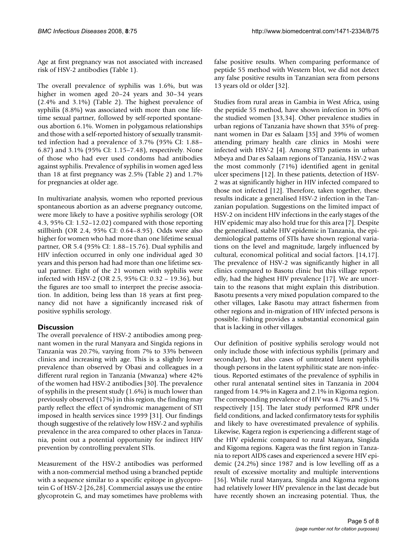Age at first pregnancy was not associated with increased risk of HSV-2 antibodies (Table 1).

The overall prevalence of syphilis was 1.6%, but was higher in women aged 20–24 years and 30–34 years (2.4% and 3.1%) (Table 2). The highest prevalence of syphilis (8.8%) was associated with more than one lifetime sexual partner, followed by self-reported spontaneous abortion 6.1%. Women in polygamous relationships and those with a self-reported history of sexually transmitted infection had a prevalence of 3.7% (95% CI: 1.88– 6.87) and 3.1% (95% CI: 1.15–7.48), respectively. None of those who had ever used condoms had antibodies against syphilis. Prevalence of syphilis in women aged less than 18 at first pregnancy was 2.5% (Table 2) and 1.7% for pregnancies at older age.

In multivariate analysis, women who reported previous spontaneous abortion as an adverse pregnancy outcome, were more likely to have a positive syphilis serology (OR 4.3, 95% CI: 1.52–12.02) compared with those reporting stillbirth (OR 2.4, 95% CI: 0.64–8.95). Odds were also higher for women who had more than one lifetime sexual partner, OR 5.4 (95% CI: 1.88–15.76). Dual syphilis and HIV infection occurred in only one individual aged 30 years and this person had had more than one lifetime sexual partner. Eight of the 21 women with syphilis were infected with HSV-2 (OR 2.5, 95% CI: 0.32 – 19.36), but the figures are too small to interpret the precise association. In addition, being less than 18 years at first pregnancy did not have a significantly increased risk of positive syphilis serology.

# **Discussion**

The overall prevalence of HSV-2 antibodies among pregnant women in the rural Manyara and Singida regions in Tanzania was 20.7%, varying from 7% to 33% between clinics and increasing with age. This is a slightly lower prevalence than observed by Obasi and colleagues in a different rural region in Tanzania (Mwanza) where 42% of the women had HSV-2 antibodies [30]. The prevalence of syphilis in the present study (1.6%) is much lower than previously observed (17%) in this region, the finding may partly reflect the effect of syndromic management of STI imposed in health services since 1999 [31]. Our findings though suggestive of the relatively low HSV-2 and syphilis prevalence in the area compared to other places in Tanzania, point out a potential opportunity for indirect HIV prevention by controlling prevalent STIs.

Measurement of the HSV-2 antibodies was performed with a non-commercial method using a branched peptide with a sequence similar to a specific epitope in glycoprotein G of HSV-2 [26,28]. Commercial assays use the entire glycoprotein G, and may sometimes have problems with

false positive results. When comparing performance of peptide 55 method with Western blot, we did not detect any false positive results in Tanzanian sera from persons 13 years old or older [32].

Studies from rural areas in Gambia in West Africa, using the peptide 55 method, have shown infection in 30% of the studied women [33,34]. Other prevalence studies in urban regions of Tanzania have shown that 35% of pregnant women in Dar es Salaam [35] and 39% of women attending primary health care clinics in Moshi were infected with HSV-2 [4]. Among STD patients in urban Mbeya and Dar es Salaam regions of Tanzania, HSV-2 was the most commonly (71%) identified agent in genital ulcer specimens [12]. In these patients, detection of HSV-2 was at significantly higher in HIV infected compared to those not infected [12]. Therefore, taken together, these results indicate a generalised HSV-2 infection in the Tanzanian population. Suggestions on the limited impact of HSV-2 on incident HIV infections in the early stages of the HIV epidemic may also hold true for this area [7]. Despite the generalised, stable HIV epidemic in Tanzania, the epidemiological patterns of STIs have shown regional variations on the level and magnitude, largely influenced by cultural, economical political and social factors. [14,17]. The prevalence of HSV-2 was significantly higher in all clinics compared to Basotu clinic but this village reportedly, had the highest HIV prevalence [17]. We are uncertain to the reasons that might explain this distribution. Basotu presents a very mixed population compared to the other villages, Lake Basotu may attract fishermen from other regions and in-migration of HIV infected persons is possible. Fishing provides a substantial economical gain that is lacking in other villages.

Our definition of positive syphilis serology would not only include those with infectious syphilis (primary and secondary), but also cases of untreated latent syphilis though persons in the latent syphilitic state are non-infectious. Reported estimates of the prevalence of syphilis in other rural antenatal sentinel sites in Tanzania in 2004 ranged from 14.9% in Kagera and 2.1% in Kigoma region. The corresponding prevalence of HIV was 4.7% and 5.1% respectively [15]. The later study performed RPR under field conditions, and lacked confirmatory tests for syphilis and likely to have overestimated prevalence of syphilis. Likewise, Kagera region is experiencing a different stage of the HIV epidemic compared to rural Manyara, Singida and Kigoma regions. Kagera was the first region in Tanzania to report AIDS cases and experienced a severe HIV epidemic (24.2%) since 1987 and is low levelling off as a result of excessive mortality and multiple interventions [36]. While rural Manyara, Singida and Kigoma regions had relatively lower HIV prevalence in the last decade but have recently shown an increasing potential. Thus, the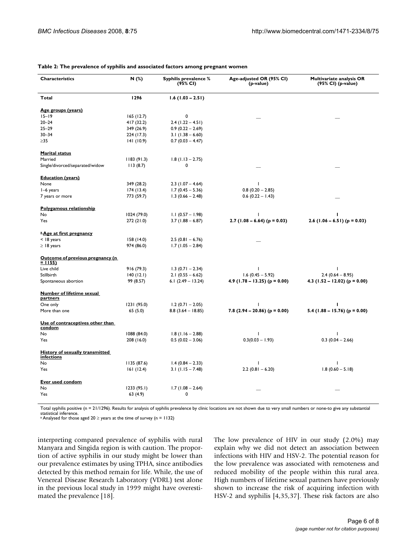| <b>Characteristics</b>                               | N(%)        | Syphilis prevalence %<br>(95% CI) | Age-adjusted OR (95% CI)<br>(p-value) | Multivariate analysis OR<br>(95% CI) (p-value) |
|------------------------------------------------------|-------------|-----------------------------------|---------------------------------------|------------------------------------------------|
| Total                                                | 1296        | $1.6(1.03 - 2.51)$                |                                       |                                                |
| Age groups (years)                                   |             |                                   |                                       |                                                |
| $15 - 19$                                            | 165(12.7)   | 0                                 |                                       |                                                |
| $20 - 24$                                            | 417 (32.2)  | $2.4$ (1.22 - 4.51)               |                                       |                                                |
| $25 - 29$                                            | 349 (26.9)  | $0.9(0.22 - 2.69)$                |                                       |                                                |
| $30 - 34$                                            | 224 (17.3)  | $3.1(1.38 - 6.60)$                |                                       |                                                |
| $\geq$ 35                                            | 141(10.9)   | $0.7(0.03 - 4.47)$                |                                       |                                                |
| <b>Marital status</b>                                |             |                                   |                                       |                                                |
| Married                                              | 1183(91.3)  | $1.8(1.13 - 2.75)$                |                                       |                                                |
| Single/divorced/separated/widow                      | 113(8.7)    | 0                                 |                                       |                                                |
| <b>Education (years)</b>                             |             |                                   |                                       |                                                |
| None                                                 | 349 (28.2)  | $2.3$ (1.07 – 4.64)               |                                       |                                                |
| $I-6$ years                                          | 174(13.4)   | $1.7(0.45 - 5.36)$                | $0.8$ (0.20 - 2.85)                   |                                                |
| 7 years or more                                      | 773 (59.7)  | $1.3(0.66 - 2.48)$                | $0.6$ (0.22 - 1.43)                   |                                                |
| Polygamous relationship                              |             |                                   |                                       |                                                |
| No                                                   | 1024 (79.0) | $1.1$ (0.57 - 1.98)               | <sup>1</sup>                          | л                                              |
| Yes                                                  | 272 (21.0)  | $3.7$ (1.88 - 6.87)               | $2.7$ (1.08 – 6.64) (p = 0.03)        | 2.6 $(1.06 - 6.51)$ (p = 0.03)                 |
| a Age at first pregnancy                             |             |                                   |                                       |                                                |
| $<$ 18 years                                         | 158(14.0)   | $2.5(0.81 - 6.76)$                |                                       |                                                |
| $\geq$ 18 years                                      | 974 (86.0)  | $1.7(1.05 - 2.84)$                |                                       |                                                |
| Outcome of previous pregnancy (n<br>$= 1155$ )       |             |                                   |                                       |                                                |
| Live child                                           | 916 (79.3)  | $1.3(0.71 - 2.34)$                | T                                     | I.                                             |
| Stillbirth                                           | 140(12.1)   | $2.1$ (0.55 - 6.62)               | $1.6$ (0.45 - 5.92)                   | $2.4(0.64 - 8.95)$                             |
| Spontaneous abortion                                 | 99 (8.57)   | $6.1 (2.49 - 13.24)$              | 4.9 $(1.78 - 13.25)$ (p = 0.00)       | 4.3 $(1.52 - 12.02)$ (p = 0.00)                |
| <b>Number of lifetime sexual</b><br><b>partners</b>  |             |                                   |                                       |                                                |
| One only                                             | 1231 (95.0) | $1.2(0.71 - 2.05)$                | $\mathbf{I}$                          | т                                              |
| More than one                                        | 65(5.0)     | $8.8(3.64 - 18.85)$               | 7.8 $(2.94 - 20.86)$ (p = 0.00)       | $5.4$ (1.88 – 15.76) (p = 0.00)                |
|                                                      |             |                                   |                                       |                                                |
| Use of contraceptives other than<br>condom           |             |                                   |                                       |                                                |
| No                                                   | 1088 (84.0) | $1.8(1.16 - 2.88)$                |                                       |                                                |
| Yes                                                  | 208 (16.0)  | $0.5(0.02 - 3.06)$                | $0.3(0.03 - 1.93)$                    | $0.3(0.04 - 2.66)$                             |
| <b>History of sexually transmitted</b><br>infections |             |                                   |                                       |                                                |
| No                                                   | 1135 (87.6) | $1.4(0.84 - 2.33)$                | <sup>1</sup>                          | <sup>1</sup>                                   |
| Yes                                                  | 161(12.4)   | $3.1$ (1.15 - 7.48)               | $2.2(0.81 - 6.20)$                    | $1.8(0.60 - 5.18)$                             |
| <b>Ever used condom</b>                              |             |                                   |                                       |                                                |
| No                                                   | 1233(95.1)  | $1.7(1.08 - 2.64)$                |                                       |                                                |
| Yes                                                  | 63 (4.9)    | 0                                 |                                       |                                                |

**Table 2: The prevalence of syphilis and associated factors among pregnant women**

Total syphilis positive (n = 21/1296). Results for analysis of syphilis prevalence by clinic locations are not shown due to very small numbers or none-to give any substantial al inference.

a Analysed for those aged  $20 \ge$  years at the time of survey (n = 1132)

interpreting compared prevalence of syphilis with rural Manyara and Singida region is with caution. The proportion of active syphilis in our study might be lower than our prevalence estimates by using TPHA, since antibodies detected by this method remain for life. While, the use of Venereal Disease Research Laboratory (VDRL) test alone in the previous local study in 1999 might have overestimated the prevalence [18].

The low prevalence of HIV in our study (2.0%) may explain why we did not detect an association between infections with HIV and HSV-2. The potential reason for the low prevalence was associated with remoteness and reduced mobility of the people within this rural area. High numbers of lifetime sexual partners have previously shown to increase the risk of acquiring infection with HSV-2 and syphilis [4,35,37]. These risk factors are also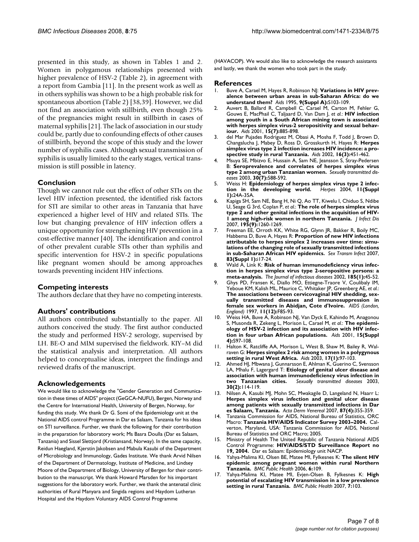presented in this study, as shown in Tables 1 and 2. Women in polygamous relationships presented with higher prevalence of HSV-2 (Table 2), in agreement with a report from Gambia [11]. In the present work as well as in others syphilis was shown to be a high probable risk for spontaneous abortion (Table 2) [38,39]. However, we did not find an association with stillbirth, even though 25% of the pregnancies might result in stillbirth in cases of maternal syphilis [21]. The lack of association in our study could be, partly due to confounding effects of other causes of stillbirth, beyond the scope of this study and the lower number of syphilis cases. Although sexual transmission of syphilis is usually limited to the early stages, vertical transmission is still possible in latency.

#### **Conclusion**

Though we cannot rule out the effect of other STIs on the level HIV infection presented, the identified risk factors for STI are similar to other areas in Tanzania that have experienced a higher level of HIV and related STIs. The low but changing prevalence of HIV infection offers a unique opportunity for strengthening HIV prevention in a cost-effective manner [40]. The identification and control of other prevalent curable STIs other than syphilis and specific intervention for HSV-2 in specific populations like pregnant women should be among approaches towards preventing incident HIV infections.

#### **Competing interests**

The authors declare that they have no competing interests.

#### **Authors' contributions**

All authors contributed substantially to the paper. All authors conceived the study. The first author conducted the study and performed HSV-2 serology, supervised by LH. BE-O and MIM supervised the fieldwork. KIY–M did the statistical analysis and interpretation. All authors helped to conceptualise ideas, interpret the findings and reviewed drafts of the manuscript.

#### **Acknowledgements**

We would like to acknowledge the "Gender Generation and Communication in these times of AIDS" project (GeGCA-NUFU), Bergen, Norway and the Centre for International Health, University of Bergen, Norway, for funding this study. We thank Dr G. Somi of the Epidemiology unit at the National AIDS control Programme in Dar es Salaam, Tanzania for his ideas on STI surveillance. Further, we thank the following for their contribution in the preparation for laboratory work; Ms Basra Doulla (Dar es Salaam, Tanzania) and Sissel Slettjord (Kristiansand, Norway). In the same capacity, Reidun Haegland, Kjerstin Jakobsen and Mabula Kasubi of the Department of Microbiology and Immunology, Gades Institute. We thank Arvid Nilsen of the Department of Dermatology, Institute of Medicine, and Lindsey Moore of the Department of Biology, University of Bergen for their contribution to the manuscript. We thank Howard Marsden for his important suggestions for the laboratory work. Further, we thank the antenatal clinic authorities of Rural Manyara and Singida regions and Haydom Lutheran Hospital and the Haydom Voluntary AIDS Control Programme

(HAVACOP). We would also like to acknowledge the research assistants and lastly, we thank the women who took part in the study.

#### **References**

- 1. Buve A, Carael M, Hayes R, Robinson NJ: **[Variations in HIV prev](http://www.ncbi.nlm.nih.gov/entrez/query.fcgi?cmd=Retrieve&db=PubMed&dopt=Abstract&list_uids=8819576)[alence between urban areas in sub-Saharan Africa: do we](http://www.ncbi.nlm.nih.gov/entrez/query.fcgi?cmd=Retrieve&db=PubMed&dopt=Abstract&list_uids=8819576) [understand them?](http://www.ncbi.nlm.nih.gov/entrez/query.fcgi?cmd=Retrieve&db=PubMed&dopt=Abstract&list_uids=8819576)** *Aids* 1995, **9(Suppl A):**S103-109.
- 2. Auvert B, Ballard R, Campbell C, Carael M, Carton M, Fehler G, Gouws E, MacPhail C, Taljaard D, Van Dam J, *et al.*: **[HIV infection](http://www.ncbi.nlm.nih.gov/entrez/query.fcgi?cmd=Retrieve&db=PubMed&dopt=Abstract&list_uids=11399961) [among youth in a South African mining town is associated](http://www.ncbi.nlm.nih.gov/entrez/query.fcgi?cmd=Retrieve&db=PubMed&dopt=Abstract&list_uids=11399961) with herpes simplex virus-2 seropositivity and sexual behav[iour.](http://www.ncbi.nlm.nih.gov/entrez/query.fcgi?cmd=Retrieve&db=PubMed&dopt=Abstract&list_uids=11399961)** *Aids* 2001, **15(7):**885-898.
- 3. del Mar Pujades Rodriguez M, Obasi A, Mosha F, Todd J, Brown D, Changalucha J, Mabey D, Ross D, Grosskurth H, Hayes R: **[Herpes](http://www.ncbi.nlm.nih.gov/entrez/query.fcgi?cmd=Retrieve&db=PubMed&dopt=Abstract&list_uids=11834958) [simplex virus type 2 infection increases HIV incidence: a pro](http://www.ncbi.nlm.nih.gov/entrez/query.fcgi?cmd=Retrieve&db=PubMed&dopt=Abstract&list_uids=11834958)[spective study in rural Tanzania.](http://www.ncbi.nlm.nih.gov/entrez/query.fcgi?cmd=Retrieve&db=PubMed&dopt=Abstract&list_uids=11834958)** *Aids* 2002, **16(3):**451-462.
- 4. Msuya SE, Mbizvo E, Hussain A, Sam NE, Jeansson S, Stray-Pedersen B: **[Seroprevalence and correlates of herpes simplex virus](http://www.ncbi.nlm.nih.gov/entrez/query.fcgi?cmd=Retrieve&db=PubMed&dopt=Abstract&list_uids=12838089) [type 2 among urban Tanzanian women.](http://www.ncbi.nlm.nih.gov/entrez/query.fcgi?cmd=Retrieve&db=PubMed&dopt=Abstract&list_uids=12838089)** *Sexually transmitted diseases* 2003, **30(7):**588-592.
- 5. Weiss H: **[Epidemiology of herpes simplex virus type 2 infec](http://www.ncbi.nlm.nih.gov/entrez/query.fcgi?cmd=Retrieve&db=PubMed&dopt=Abstract&list_uids=15115627)**[tion in the developing world.](http://www.ncbi.nlm.nih.gov/entrez/query.fcgi?cmd=Retrieve&db=PubMed&dopt=Abstract&list_uids=15115627) **1):**24A-35A.
- 6. Kapiga SH, Sam NE, Bang H, Ni Q, Ao TT, Kiwelu I, Chiduo S, Ndibe U, Seage G 3rd, Coplan P, *et al.*: **[The role of herpes simplex virus](http://www.ncbi.nlm.nih.gov/entrez/query.fcgi?cmd=Retrieve&db=PubMed&dopt=Abstract&list_uids=17396994) [type 2 and other genital infections in the acquisition of HIV-](http://www.ncbi.nlm.nih.gov/entrez/query.fcgi?cmd=Retrieve&db=PubMed&dopt=Abstract&list_uids=17396994)[1 among high-risk women in northern Tanzania.](http://www.ncbi.nlm.nih.gov/entrez/query.fcgi?cmd=Retrieve&db=PubMed&dopt=Abstract&list_uids=17396994)** *J Infect Dis* 2007, **195(9):**1260-1269.
- 7. Freeman EE, Orroth KK, White RG, Glynn JR, Bakker R, Boily MC, Habbema D, Buve A, Hayes R: **[Proportion of new HIV infections](http://www.ncbi.nlm.nih.gov/entrez/query.fcgi?cmd=Retrieve&db=PubMed&dopt=Abstract&list_uids=17405782) [attributable to herpes simplex 2 increases over time: simu](http://www.ncbi.nlm.nih.gov/entrez/query.fcgi?cmd=Retrieve&db=PubMed&dopt=Abstract&list_uids=17405782)lations of the changing role of sexually transmitted infections [in sub-Saharan African HIV epidemics.](http://www.ncbi.nlm.nih.gov/entrez/query.fcgi?cmd=Retrieve&db=PubMed&dopt=Abstract&list_uids=17405782)** *Sex Transm Infect* 2007, **83(Suppl 1):**i17-24.
- 8. Wald A, Link K: **[Risk of human immunodeficiency virus infec](http://www.ncbi.nlm.nih.gov/entrez/query.fcgi?cmd=Retrieve&db=PubMed&dopt=Abstract&list_uids=11756980)[tion in herpes simplex virus type 2-seropositive persons: a](http://www.ncbi.nlm.nih.gov/entrez/query.fcgi?cmd=Retrieve&db=PubMed&dopt=Abstract&list_uids=11756980) [meta-analysis.](http://www.ncbi.nlm.nih.gov/entrez/query.fcgi?cmd=Retrieve&db=PubMed&dopt=Abstract&list_uids=11756980)** *The Journal of infectious diseases* 2002, **185(1):**45-52.
- 9. Ghys PD, Fransen K, Diallo MO, Ettiegne-Traore V, Coulibaly IM, Yeboue KM, Kalish ML, Maurice C, Whitaker JP, Greenberg AE, *et al.*: **[The associations between cervicovaginal HIV shedding, sex](http://www.ncbi.nlm.nih.gov/entrez/query.fcgi?cmd=Retrieve&db=PubMed&dopt=Abstract&list_uids=9342059)ually transmitted diseases and immunosuppression in [female sex workers in Abidjan, Cote d'Ivoire.](http://www.ncbi.nlm.nih.gov/entrez/query.fcgi?cmd=Retrieve&db=PubMed&dopt=Abstract&list_uids=9342059)** *AIDS (London, England)* 1997, **11(12):**F85-93.
- 10. Weiss HA, Buve A, Robinson NJ, Van Dyck E, Kahindo M, Anagonou S, Musonda R, Zekeng L, Morison L, Carael M, *et al.*: **[The epidemi](http://www.ncbi.nlm.nih.gov/entrez/query.fcgi?cmd=Retrieve&db=PubMed&dopt=Abstract&list_uids=11686471)[ology of HSV-2 infection and its association with HIV infec](http://www.ncbi.nlm.nih.gov/entrez/query.fcgi?cmd=Retrieve&db=PubMed&dopt=Abstract&list_uids=11686471)[tion in four urban African populations.](http://www.ncbi.nlm.nih.gov/entrez/query.fcgi?cmd=Retrieve&db=PubMed&dopt=Abstract&list_uids=11686471)** *Aids* 2001, **15(Suppl 4):**S97-108.
- 11. Halton K, Ratcliffe AA, Morison L, West B, Shaw M, Bailey R, Walraven G: **[Herpes simplex 2 risk among women in a polygynous](http://www.ncbi.nlm.nih.gov/entrez/query.fcgi?cmd=Retrieve&db=PubMed&dopt=Abstract&list_uids=12478074) [setting in rural West Africa.](http://www.ncbi.nlm.nih.gov/entrez/query.fcgi?cmd=Retrieve&db=PubMed&dopt=Abstract&list_uids=12478074)** *Aids* 2003, **17(1):**97-103.
- 12. Ahmed HJ, Mbwana J, Gunnarsson E, Ahlman K, Guerino C, Svensson LA, Mhalu F, Lagergard T: **[Etiology of genital ulcer disease and](http://www.ncbi.nlm.nih.gov/entrez/query.fcgi?cmd=Retrieve&db=PubMed&dopt=Abstract&list_uids=12567167) [association with human immunodeficiency virus infection in](http://www.ncbi.nlm.nih.gov/entrez/query.fcgi?cmd=Retrieve&db=PubMed&dopt=Abstract&list_uids=12567167) [two Tanzanian cities.](http://www.ncbi.nlm.nih.gov/entrez/query.fcgi?cmd=Retrieve&db=PubMed&dopt=Abstract&list_uids=12567167)** *Sexually transmitted diseases* 2003, **30(2):**114-119.
- 13. Nilsen A, Kasubi MJ, Mohn SC, Mwakagile D, Langeland N, Haarr L: **[Herpes simplex virus infection and genital ulcer disease](http://www.ncbi.nlm.nih.gov/entrez/query.fcgi?cmd=Retrieve&db=PubMed&dopt=Abstract&list_uids=17598041) among patients with sexually transmitted infections in Dar [es Salaam, Tanzania.](http://www.ncbi.nlm.nih.gov/entrez/query.fcgi?cmd=Retrieve&db=PubMed&dopt=Abstract&list_uids=17598041)** *Acta Derm Venereol* 2007, **87(4):**355-359.
- 14. Tanzania Commission for AIDS, National Bureau of Statistics, ORC Macro: **Tanzania HIV/AIDS Indicator Survey 2003–2004.** Calverton, Maryland, USA: Tanzania Commission for AIDS, National Bureau of Statistics and ORC Macro; 2005.
- 15. Ministry of Health The United Republic of Tanzania National AIDS Control Programme: **HIV/AIDS/STD Surveillance Report no 19, 2004.** Dar es Salaam: Epidemiology unit NACP.
- 16. Yahya-Malima KI, Olsen BE, Matee MI, Fylkesnes K: **[The silent HIV](http://www.ncbi.nlm.nih.gov/entrez/query.fcgi?cmd=Retrieve&db=PubMed&dopt=Abstract&list_uids=16643653) [epidemic among pregnant women within rural Northern](http://www.ncbi.nlm.nih.gov/entrez/query.fcgi?cmd=Retrieve&db=PubMed&dopt=Abstract&list_uids=16643653) [Tanzania.](http://www.ncbi.nlm.nih.gov/entrez/query.fcgi?cmd=Retrieve&db=PubMed&dopt=Abstract&list_uids=16643653)** *BMC Public Health* 2006, **6:**109.
- 17. Yahya-Malima KI, Matee MI, Evjen-Olsen B, Fylkesnes K: **[High](http://www.ncbi.nlm.nih.gov/entrez/query.fcgi?cmd=Retrieve&db=PubMed&dopt=Abstract&list_uids=17559683) [potential of escalating HIV transmission in a low prevalence](http://www.ncbi.nlm.nih.gov/entrez/query.fcgi?cmd=Retrieve&db=PubMed&dopt=Abstract&list_uids=17559683) [setting in rural Tanzania.](http://www.ncbi.nlm.nih.gov/entrez/query.fcgi?cmd=Retrieve&db=PubMed&dopt=Abstract&list_uids=17559683)** *BMC Public Health* 2007, **7:**103.